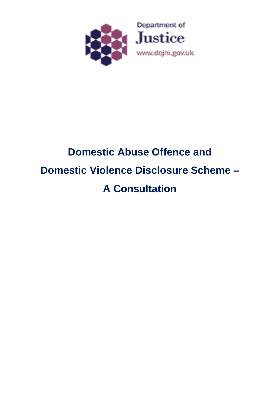

# **Domestic Abuse Offence and Domestic Violence Disclosure Scheme – A Consultation**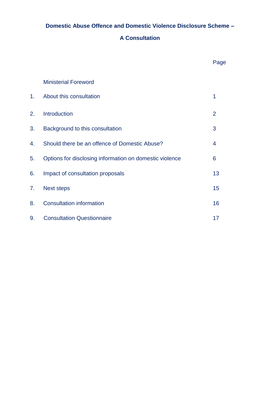### **Domestic Abuse Offence and Domestic Violence Disclosure Scheme –**

#### **A Consultation**

|    |                                                         | Page |
|----|---------------------------------------------------------|------|
|    | <b>Ministerial Foreword</b>                             |      |
| 1. | About this consultation                                 | 1    |
| 2. | <b>Introduction</b>                                     | 2    |
| 3. | Background to this consultation                         | 3    |
| 4. | Should there be an offence of Domestic Abuse?           | 4    |
| 5. | Options for disclosing information on domestic violence | 6    |
| 6. | Impact of consultation proposals                        | 13   |
| 7. | <b>Next steps</b>                                       | 15   |
| 8. | <b>Consultation information</b>                         | 16   |
| 9. | <b>Consultation Questionnaire</b>                       | 17   |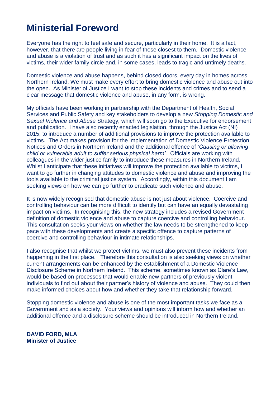# **Ministerial Foreword**

Everyone has the right to feel safe and secure, particularly in their home. It is a fact, however, that there are people living in fear of those closest to them. Domestic violence and abuse is a violation of trust and as such it has a significant impact on the lives of victims, their wider family circle and, in some cases, leads to tragic and untimely deaths.

Domestic violence and abuse happens, behind closed doors, every day in homes across Northern Ireland. We must make every effort to bring domestic violence and abuse out into the open. As Minister of Justice I want to stop these incidents and crimes and to send a clear message that domestic violence and abuse, in any form, is wrong.

My officials have been working in partnership with the Department of Health, Social Services and Public Safety and key stakeholders to develop a new *Stopping Domestic and Sexual Violence and Abuse* Strategy, which will soon go to the Executive for endorsement and publication. I have also recently enacted legislation, through the Justice Act (NI) 2015, to introduce a number of additional provisions to improve the protection available to victims. The Act makes provision for the implementation of Domestic Violence Protection Notices and Orders in Northern Ireland and the additional offence of *'Causing or allowing child or vulnerable adult to suffer serious physical harm'.* Officials are working with colleagues in the wider justice family to introduce these measures in Northern Ireland. Whilst I anticipate that these initiatives will improve the protection available to victims, I want to go further in changing attitudes to domestic violence and abuse and improving the tools available to the criminal justice system. Accordingly, within this document I am seeking views on how we can go further to eradicate such violence and abuse.

It is now widely recognised that domestic abuse is not just about violence. Coercive and controlling behaviour can be more difficult to identify but can have an equally devastating impact on victims. In recognising this, the new strategy includes a revised Government definition of domestic violence and abuse to capture coercive and controlling behaviour. This consultation seeks your views on whether the law needs to be strengthened to keep pace with these developments and create a specific offence to capture patterns of coercive and controlling behaviour in intimate relationships.

I also recognise that whilst we protect victims, we must also prevent these incidents from happening in the first place. Therefore this consultation is also seeking views on whether current arrangements can be enhanced by the establishment of a Domestic Violence Disclosure Scheme in Northern Ireland. This scheme, sometimes known as Clare's Law, would be based on processes that would enable new partners of previously violent individuals to find out about their partner's history of violence and abuse. They could then make informed choices about how and whether they take that relationship forward.

Stopping domestic violence and abuse is one of the most important tasks we face as a Government and as a society. Your views and opinions will inform how and whether an additional offence and a disclosure scheme should be introduced in Northern Ireland.

**DAVID FORD, MLA Minister of Justice**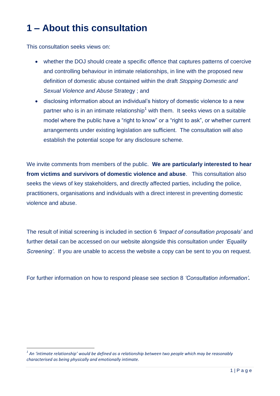# **1 – About this consultation**

This consultation seeks views on:

1

- whether the DOJ should create a specific offence that captures patterns of coercive and controlling behaviour in intimate relationships, in line with the proposed new definition of domestic abuse contained within the draft *Stopping Domestic and Sexual Violence and Abuse* Strategy ; and
- disclosing information about an individual's history of domestic violence to a new partner who is in an intimate relationship<sup>1</sup> with them. It seeks views on a suitable model where the public have a "right to know" or a "right to ask", or whether current arrangements under existing legislation are sufficient. The consultation will also establish the potential scope for any disclosure scheme.

We invite comments from members of the public. **We are particularly interested to hear from victims and survivors of domestic violence and abuse**. This consultation also seeks the views of key stakeholders, and directly affected parties, including the police, practitioners, organisations and individuals with a direct interest in preventing domestic violence and abuse.

The result of initial screening is included in section 6 *'Impact of consultation proposals'* and further detail can be accessed on our website alongside this consultation under *'Equality Screening'*. If you are unable to access the website a copy can be sent to you on request.

For further information on how to respond please see section 8 *'Consultation information'.*

*<sup>1</sup> An 'intimate relationship' would be defined as a relationship between two people which may be reasonably characterised as being physically and emotionally intimate.*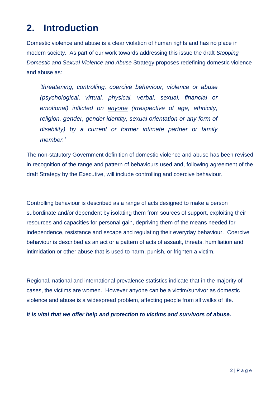# **2. Introduction**

Domestic violence and abuse is a clear violation of human rights and has no place in modern society. As part of our work towards addressing this issue the draft *Stopping Domestic and Sexual Violence and Abuse* Strategy proposes redefining domestic violence and abuse as:

*'threatening, controlling, coercive behaviour, violence or abuse (psychological, virtual, physical, verbal, sexual, financial or emotional) inflicted on anyone (irrespective of age, ethnicity, religion, gender, gender identity, sexual orientation or any form of disability) by a current or former intimate partner or family member.'* 

The non-statutory Government definition of domestic violence and abuse has been revised in recognition of the range and pattern of behaviours used and, following agreement of the draft Strategy by the Executive, will include controlling and coercive behaviour.

Controlling behaviour is described as a range of acts designed to make a person subordinate and/or dependent by isolating them from sources of support, exploiting their resources and capacities for personal gain, depriving them of the means needed for independence, resistance and escape and regulating their everyday behaviour. Coercive behaviour is described as an act or a pattern of acts of assault, threats, humiliation and intimidation or other abuse that is used to harm, punish, or frighten a victim.

Regional, national and international prevalence statistics indicate that in the majority of cases, the victims are women. However anyone can be a victim/survivor as domestic violence and abuse is a widespread problem, affecting people from all walks of life.

*It is vital that we offer help and protection to victims and survivors of abuse.*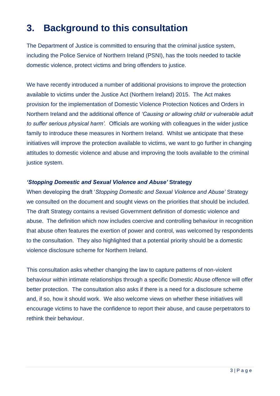# **3. Background to this consultation**

The Department of Justice is committed to ensuring that the criminal justice system, including the Police Service of Northern Ireland (PSNI), has the tools needed to tackle domestic violence, protect victims and bring offenders to justice.

We have recently introduced a number of additional provisions to improve the protection available to victims under the Justice Act (Northern Ireland) 2015. The Act makes provision for the implementation of Domestic Violence Protection Notices and Orders in Northern Ireland and the additional offence of *'Causing or allowing child or vulnerable adult to suffer serious physical harm'.* Officials are working with colleagues in the wider justice family to introduce these measures in Northern Ireland. Whilst we anticipate that these initiatives will improve the protection available to victims, we want to go further in changing attitudes to domestic violence and abuse and improving the tools available to the criminal justice system.

#### *'Stopping Domestic and Sexual Violence and Abuse'* **Strategy**

When developing the draft '*Stopping Domestic and Sexual Violence and Abuse'* Strategy we consulted on the document and sought views on the priorities that should be included. The draft Strategy contains a revised Government definition of domestic violence and abuse. The definition which now includes coercive and controlling behaviour in recognition that abuse often features the exertion of power and control, was welcomed by respondents to the consultation. They also highlighted that a potential priority should be a domestic violence disclosure scheme for Northern Ireland.

This consultation asks whether changing the law to capture patterns of non-violent behaviour within intimate relationships through a specific Domestic Abuse offence will offer better protection. The consultation also asks if there is a need for a disclosure scheme and, if so, how it should work. We also welcome views on whether these initiatives will encourage victims to have the confidence to report their abuse, and cause perpetrators to rethink their behaviour.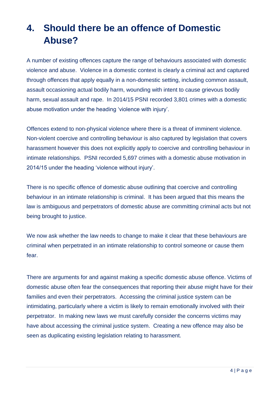# **4. Should there be an offence of Domestic Abuse?**

A number of existing offences capture the range of behaviours associated with domestic violence and abuse. Violence in a domestic context is clearly a criminal act and captured through offences that apply equally in a non-domestic setting, including common assault, assault occasioning actual bodily harm, wounding with intent to cause grievous bodily harm, sexual assault and rape. In 2014/15 PSNI recorded 3,801 crimes with a domestic abuse motivation under the heading 'violence with injury'.

Offences extend to non-physical violence where there is a threat of imminent violence. Non-violent coercive and controlling behaviour is also captured by legislation that covers harassment however this does not explicitly apply to coercive and controlling behaviour in intimate relationships. PSNI recorded 5,697 crimes with a domestic abuse motivation in 2014/15 under the heading 'violence without injury'.

There is no specific offence of domestic abuse outlining that coercive and controlling behaviour in an intimate relationship is criminal. It has been argued that this means the law is ambiguous and perpetrators of domestic abuse are committing criminal acts but not being brought to justice.

We now ask whether the law needs to change to make it clear that these behaviours are criminal when perpetrated in an intimate relationship to control someone or cause them fear.

There are arguments for and against making a specific domestic abuse offence. Victims of domestic abuse often fear the consequences that reporting their abuse might have for their families and even their perpetrators. Accessing the criminal justice system can be intimidating, particularly where a victim is likely to remain emotionally involved with their perpetrator. In making new laws we must carefully consider the concerns victims may have about accessing the criminal justice system. Creating a new offence may also be seen as duplicating existing legislation relating to harassment.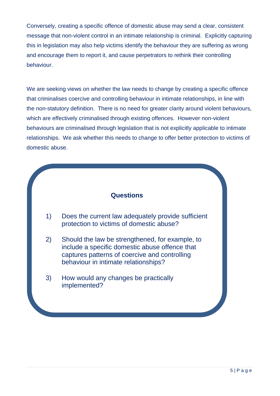Conversely, creating a specific offence of domestic abuse may send a clear, consistent message that non-violent control in an intimate relationship is criminal. Explicitly capturing this in legislation may also help victims identify the behaviour they are suffering as wrong and encourage them to report it, and cause perpetrators to rethink their controlling behaviour.

We are seeking views on whether the law needs to change by creating a specific offence that criminalises coercive and controlling behaviour in intimate relationships, in line with the non-statutory definition. There is no need for greater clarity around violent behaviours, which are effectively criminalised through existing offences. However non-violent behaviours are criminalised through legislation that is not explicitly applicable to intimate relationships. We ask whether this needs to change to offer better protection to victims of domestic abuse.

#### **Questions**

- 1) Does the current law adequately provide sufficient protection to victims of domestic abuse?
- 2) Should the law be strengthened, for example, to include a specific domestic abuse offence that captures patterns of coercive and controlling behaviour in intimate relationships?
- 3) How would any changes be practically implemented?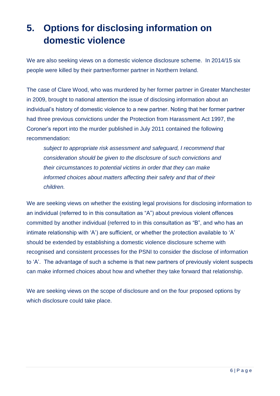# **5. Options for disclosing information on domestic violence**

We are also seeking views on a domestic violence disclosure scheme. In 2014/15 six people were killed by their partner/former partner in Northern Ireland.

The case of Clare Wood, who was murdered by her former partner in Greater Manchester in 2009, brought to national attention the issue of disclosing information about an individual's history of domestic violence to a new partner. Noting that her former partner had three previous convictions under the Protection from Harassment Act 1997, the Coroner's report into the murder published in July 2011 contained the following recommendation:

*subject to appropriate risk assessment and safeguard, I recommend that consideration should be given to the disclosure of such convictions and their circumstances to potential victims in order that they can make informed choices about matters affecting their safety and that of their children.* 

We are seeking views on whether the existing legal provisions for disclosing information to an individual (referred to in this consultation as "A") about previous violent offences committed by another individual (referred to in this consultation as "B", and who has an intimate relationship with 'A') are sufficient, or whether the protection available to 'A' should be extended by establishing a domestic violence disclosure scheme with recognised and consistent processes for the PSNI to consider the disclose of information to 'A'. The advantage of such a scheme is that new partners of previously violent suspects can make informed choices about how and whether they take forward that relationship.

We are seeking views on the scope of disclosure and on the four proposed options by which disclosure could take place.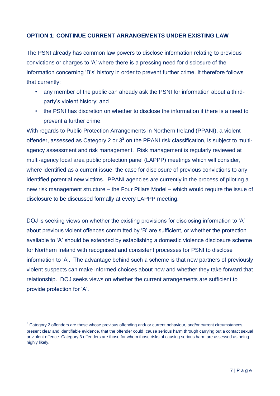#### **OPTION 1: CONTINUE CURRENT ARRANGEMENTS UNDER EXISTING LAW**

The PSNI already has common law powers to disclose information relating to previous convictions or charges to 'A' where there is a pressing need for disclosure of the information concerning 'B's' history in order to prevent further crime. It therefore follows that currently:

- any member of the public can already ask the PSNI for information about a thirdparty's violent history; and
- the PSNI has discretion on whether to disclose the information if there is a need to prevent a further crime.

With regards to Public Protection Arrangements in Northern Ireland (PPANI), a violent offender, assessed as Category 2 or  $3<sup>2</sup>$  on the PPANI risk classification, is subject to multiagency assessment and risk management. Risk management is regularly reviewed at multi-agency local area public protection panel (LAPPP) meetings which will consider, where identified as a current issue, the case for disclosure of previous convictions to any identified potential new victims. PPANI agencies are currently in the process of piloting a new risk management structure – the Four Pillars Model – which would require the issue of disclosure to be discussed formally at every LAPPP meeting.

DOJ is seeking views on whether the existing provisions for disclosing information to 'A' about previous violent offences committed by 'B' are sufficient, or whether the protection available to 'A' should be extended by establishing a domestic violence disclosure scheme for Northern Ireland with recognised and consistent processes for PSNI to disclose information to 'A'. The advantage behind such a scheme is that new partners of previously violent suspects can make informed choices about how and whether they take forward that relationship. DOJ seeks views on whether the current arrangements are sufficient to provide protection for 'A'.

 $\overline{a}$ 

 $2$  Category 2 offenders are those whose previous offending and/ or current behaviour, and/or current circumstances, present clear and identifiable evidence, that the offender could cause serious harm through carrying out a contact sexual or violent offence. Category 3 offenders are those for whom those risks of causing serious harm are assessed as being highly likely.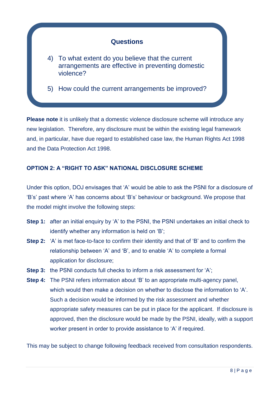- 4) To what extent do you believe that the current arrangements are effective in preventing domestic violence?
- 5) How could the current arrangements be improved?

**Please note** it is unlikely that a domestic violence disclosure scheme will introduce any new legislation. Therefore, any disclosure must be within the existing legal framework and, in particular, have due regard to established case law, the Human Rights Act 1998 and the Data Protection Act 1998.

#### **OPTION 2: A "RIGHT TO ASK" NATIONAL DISCLOSURE SCHEME**

Under this option, DOJ envisages that 'A' would be able to ask the PSNI for a disclosure of 'B's' past where 'A' has concerns about 'B's' behaviour or background. We propose that the model might involve the following steps:

- **Step 1:** after an initial enquiry by 'A' to the PSNI, the PSNI undertakes an initial check to identify whether any information is held on 'B';
- **Step 2:** 'A' is met face-to-face to confirm their identity and that of 'B' and to confirm the relationship between 'A' and 'B', and to enable 'A' to complete a formal application for disclosure;
- **Step 3:** the PSNI conducts full checks to inform a risk assessment for 'A';
- **Step 4:** The PSNI refers information about 'B' to an appropriate multi-agency panel, which would then make a decision on whether to disclose the information to 'A'. Such a decision would be informed by the risk assessment and whether appropriate safety measures can be put in place for the applicant. If disclosure is approved, then the disclosure would be made by the PSNI, ideally, with a support worker present in order to provide assistance to 'A' if required.

This may be subject to change following feedback received from consultation respondents.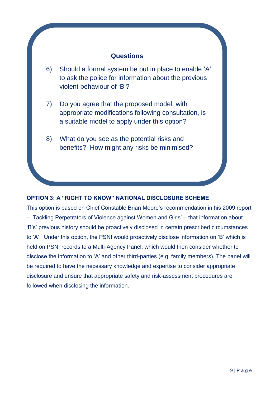- 6) Should a formal system be put in place to enable 'A' to ask the police for information about the previous violent behaviour of 'B'?
- 7) Do you agree that the proposed model, with appropriate modifications following consultation, is a suitable model to apply under this option?
- 8) What do you see as the potential risks and benefits? How might any risks be minimised?

#### **OPTION 3: A "RIGHT TO KNOW" NATIONAL DISCLOSURE SCHEME**

This option is based on Chief Constable Brian Moore's recommendation in his 2009 report – 'Tackling Perpetrators of Violence against Women and Girls' – that information about 'B's' previous history should be proactively disclosed in certain prescribed circumstances to 'A'. Under this option, the PSNI would proactively disclose information on 'B' which is held on PSNI records to a Multi-Agency Panel, which would then consider whether to disclose the information to 'A' and other third-parties (e.g. family members). The panel will be required to have the necessary knowledge and expertise to consider appropriate disclosure and ensure that appropriate safety and risk-assessment procedures are followed when disclosing the information.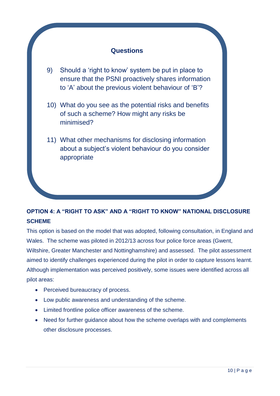- 9) Should a 'right to know' system be put in place to ensure that the PSNI proactively shares information to 'A' about the previous violent behaviour of 'B'?
- 10) What do you see as the potential risks and benefits of such a scheme? How might any risks be minimised?
- 11) What other mechanisms for disclosing information about a subject's violent behaviour do you consider appropriate

# **OPTION 4: A "RIGHT TO ASK" AND A "RIGHT TO KNOW" NATIONAL DISCLOSURE SCHEME**

This option is based on the model that was adopted, following consultation, in England and Wales. The scheme was piloted in 2012/13 across four police force areas (Gwent, Wiltshire, Greater Manchester and Nottinghamshire) and assessed. The pilot assessment aimed to identify challenges experienced during the pilot in order to capture lessons learnt. Although implementation was perceived positively, some issues were identified across all pilot areas:

- Perceived bureaucracy of process.
- Low public awareness and understanding of the scheme.
- Limited frontline police officer awareness of the scheme.
- Need for further guidance about how the scheme overlaps with and complements other disclosure processes.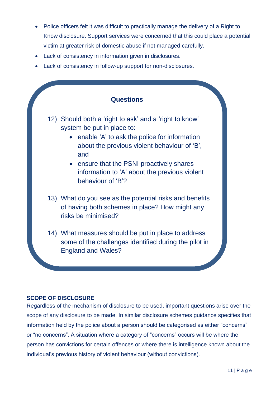- Police officers felt it was difficult to practically manage the delivery of a Right to Know disclosure. Support services were concerned that this could place a potential victim at greater risk of domestic abuse if not managed carefully.
- Lack of consistency in information given in disclosures.
- Lack of consistency in follow-up support for non-disclosures.



#### **SCOPE OF DISCLOSURE**

Regardless of the mechanism of disclosure to be used, important questions arise over the scope of any disclosure to be made. In similar disclosure schemes guidance specifies that information held by the police about a person should be categorised as either "concerns" or "no concerns". A situation where a category of "concerns" occurs will be where the person has convictions for certain offences or where there is intelligence known about the individual's previous history of violent behaviour (without convictions).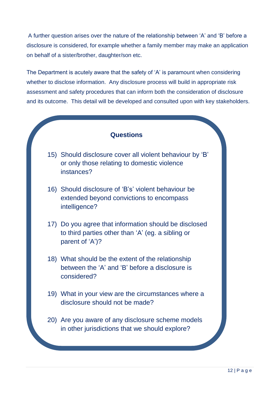A further question arises over the nature of the relationship between 'A' and 'B' before a disclosure is considered, for example whether a family member may make an application on behalf of a sister/brother, daughter/son etc.

The Department is acutely aware that the safety of 'A' is paramount when considering whether to disclose information. Any disclosure process will build in appropriate risk assessment and safety procedures that can inform both the consideration of disclosure and its outcome. This detail will be developed and consulted upon with key stakeholders.

### **Questions**

- 15) Should disclosure cover all violent behaviour by 'B' or only those relating to domestic violence instances?
- 16) Should disclosure of 'B's' violent behaviour be extended beyond convictions to encompass intelligence?
- 17) Do you agree that information should be disclosed to third parties other than 'A' (eg. a sibling or parent of 'A')?
- 18) What should be the extent of the relationship between the 'A' and 'B' before a disclosure is considered?
- 19) What in your view are the circumstances where a disclosure should not be made?
- 20) Are you aware of any disclosure scheme models in other jurisdictions that we should explore?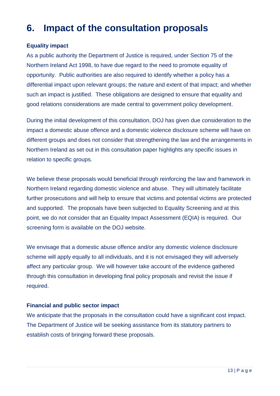# **6. Impact of the consultation proposals**

#### **Equality impact**

As a public authority the Department of Justice is required, under Section 75 of the Northern Ireland Act 1998, to have due regard to the need to promote equality of opportunity. Public authorities are also required to identify whether a policy has a differential impact upon relevant groups; the nature and extent of that impact; and whether such an impact is justified. These obligations are designed to ensure that equality and good relations considerations are made central to government policy development.

During the initial development of this consultation, DOJ has given due consideration to the impact a domestic abuse offence and a domestic violence disclosure scheme will have on different groups and does not consider that strengthening the law and the arrangements in Northern Ireland as set out in this consultation paper highlights any specific issues in relation to specific groups.

We believe these proposals would beneficial through reinforcing the law and framework in Northern Ireland regarding domestic violence and abuse. They will ultimately facilitate further prosecutions and will help to ensure that victims and potential victims are protected and supported. The proposals have been subjected to Equality Screening and at this point, we do not consider that an Equality Impact Assessment (EQIA) is required. Our screening form is available on the DOJ website.

We envisage that a domestic abuse offence and/or any domestic violence disclosure scheme will apply equally to all individuals, and it is not envisaged they will adversely affect any particular group. We will however take account of the evidence gathered through this consultation in developing final policy proposals and revisit the issue if required.

#### **Financial and public sector impact**

We anticipate that the proposals in the consultation could have a significant cost impact. The Department of Justice will be seeking assistance from its statutory partners to establish costs of bringing forward these proposals.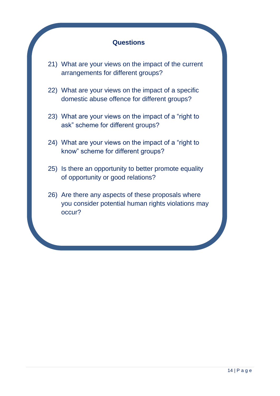- 21) What are your views on the impact of the current arrangements for different groups?
- 22) What are your views on the impact of a specific domestic abuse offence for different groups?
- 23) What are your views on the impact of a "right to ask" scheme for different groups?
- 24) What are your views on the impact of a "right to know" scheme for different groups?
- 25) Is there an opportunity to better promote equality of opportunity or good relations?
- 26) Are there any aspects of these proposals where you consider potential human rights violations may occur?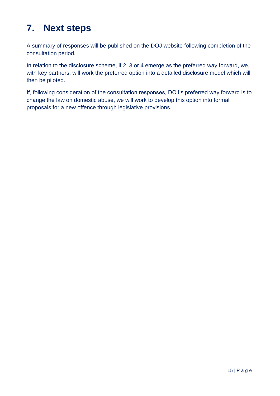# **7. Next steps**

A summary of responses will be published on the DOJ website following completion of the consultation period.

In relation to the disclosure scheme, if 2, 3 or 4 emerge as the preferred way forward, we, with key partners, will work the preferred option into a detailed disclosure model which will then be piloted.

If, following consideration of the consultation responses, DOJ's preferred way forward is to change the law on domestic abuse, we will work to develop this option into formal proposals for a new offence through legislative provisions.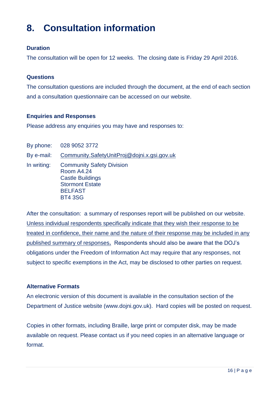# **8. Consultation information**

#### **Duration**

The consultation will be open for 12 weeks. The closing date is Friday 29 April 2016.

#### **Questions**

The consultation questions are included through the document, at the end of each section and a consultation questionnaire can be accessed on our website.

#### **Enquiries and Responses**

Please address any enquiries you may have and responses to:

By phone: 028 9052 3772 By e-mail: [Community.SafetyUnitProj@dojni.x.gsi.gov.uk](mailto:Community.SafetyUnitProj@dojni.x.gsi.gov.uk) In writing: Community Safety Division Room A4.24 Castle Buildings Stormont Estate BELFAST BT4 3SG

After the consultation: a summary of responses report will be published on our website. Unless individual respondents specifically indicate that they wish their response to be treated in confidence, their name and the nature of their response may be included in any published summary of responses**.** Respondents should also be aware that the DOJ's obligations under the Freedom of Information Act may require that any responses, not subject to specific exemptions in the Act, may be disclosed to other parties on request.

#### **Alternative Formats**

An electronic version of this document is available in the consultation section of the Department of Justice website (www.dojni.gov.uk). Hard copies will be posted on request.

Copies in other formats, including Braille, large print or computer disk, may be made available on request. Please contact us if you need copies in an alternative language or format.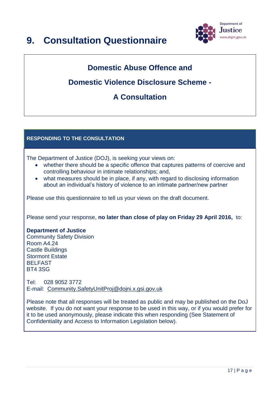# **9. Consultation Questionnaire**



# **Domestic Abuse Offence and**

# **Domestic Violence Disclosure Scheme -**

# **A Consultation**

#### **RESPONDING TO THE CONSULTATION**

The Department of Justice (DOJ), is seeking your views on:

- whether there should be a specific offence that captures patterns of coercive and controlling behaviour in intimate relationships; and,
- what measures should be in place, if any, with regard to disclosing information about an individual's history of violence to an intimate partner/new partner

Please use this questionnaire to tell us your views on the draft document.

Please send your response, **no later than close of play on Friday 29 April 2016,** to:

#### **Department of Justice**

Community Safety Division Room A4.24 Castle Buildings Stormont Estate BELFAST BT4 3SG

Tel: 028 9052 3772 E-mail: [Community.SafetyUnitProj@dojni.x.gsi.gov.uk](mailto:Community.SafetyUnitProj@dojni.x.gsi.gov.uk)

Please note that all responses will be treated as public and may be published on the DoJ website. If you do not want your response to be used in this way, or if you would prefer for it to be used anonymously, please indicate this when responding (See Statement of Confidentiality and Access to Information Legislation below).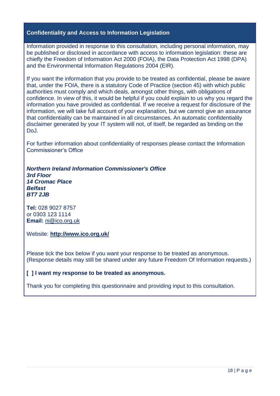#### **Confidentiality and Access to Information Legislation**

Information provided in response to this consultation, including personal information, may be published or disclosed in accordance with access to information legislation: these are chiefly the Freedom of Information Act 2000 (FOIA), the Data Protection Act 1998 (DPA) and the Environmental Information Regulations 2004 (EIR).

If you want the information that you provide to be treated as confidential, please be aware that, under the FOIA, there is a statutory Code of Practice (section 45) with which public authorities must comply and which deals, amongst other things, with obligations of confidence. In view of this, it would be helpful if you could explain to us why you regard the information you have provided as confidential. If we receive a request for disclosure of the information, we will take full account of your explanation, but we cannot give an assurance that confidentiality can be maintained in all circumstances. An automatic confidentiality disclaimer generated by your IT system will not, of itself, be regarded as binding on the DoJ.

For further information about confidentiality of responses please contact the Information Commissioner's Office

*Northern Ireland Information Commissioner's Office 3rd Floor 14 Cromac Place Belfast BT7 2JB*

**Tel:** 028 9027 8757 or 0303 123 1114 **Email:** [ni@ico.org.uk](mailto:ni@ico.org.uk)

Website: **<http://www.ico.org.uk/>**

Please tick the box below if you want your response to be treated as anonymous. (Response details may still be shared under any future Freedom Of Information requests.)

#### **[ ] I want my response to be treated as anonymous.**

Thank you for completing this questionnaire and providing input to this consultation.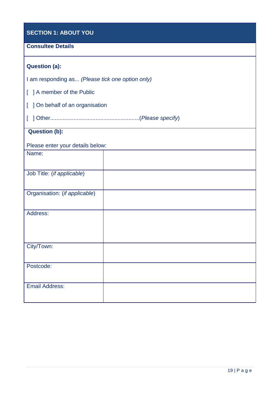| <b>SECTION 1: ABOUT YOU</b>                      |  |  |  |  |  |
|--------------------------------------------------|--|--|--|--|--|
| <b>Consultee Details</b>                         |  |  |  |  |  |
| <b>Question (a):</b>                             |  |  |  |  |  |
| I am responding as (Please tick one option only) |  |  |  |  |  |
| ] A member of the Public<br>L                    |  |  |  |  |  |
| ] On behalf of an organisation<br>I              |  |  |  |  |  |
|                                                  |  |  |  |  |  |
| <b>Question (b):</b>                             |  |  |  |  |  |
| Please enter your details below:                 |  |  |  |  |  |
| Name:                                            |  |  |  |  |  |
| Job Title: (if applicable)                       |  |  |  |  |  |
| Organisation: (if applicable)                    |  |  |  |  |  |
| Address:                                         |  |  |  |  |  |
|                                                  |  |  |  |  |  |
| City/Town:                                       |  |  |  |  |  |
| Postcode:                                        |  |  |  |  |  |
| <b>Email Address:</b>                            |  |  |  |  |  |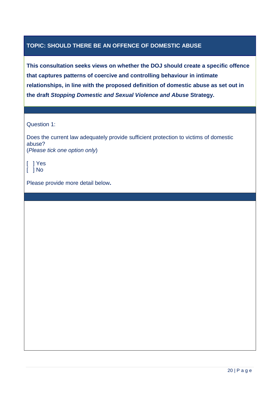#### **TOPIC: SHOULD THERE BE AN OFFENCE OF DOMESTIC ABUSE**

**This consultation seeks views on whether the DOJ should create a specific offence that captures patterns of coercive and controlling behaviour in intimate relationships, in line with the proposed definition of domestic abuse as set out in the draft** *Stopping Domestic and Sexual Violence and Abuse* **Strategy.**

Question 1:

Does the current law adequately provide sufficient protection to victims of domestic abuse? (*Please tick one option only*)

[ ] Yes  $\overline{ }$   $\overline{ }$   $\overline{ }$   $\overline{ }$  No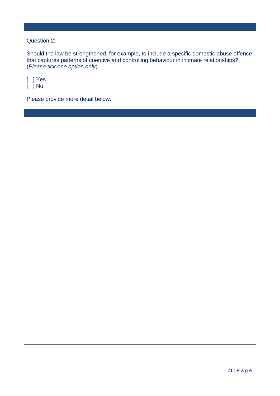#### Question 2:

Should the law be strengthened, for example, to include a specific domestic abuse offence that captures patterns of coercive and controlling behaviour in intimate relationships? (*Please tick one option only*)

[ ] Yes

 $\overline{[}$   $\overline{]}$  No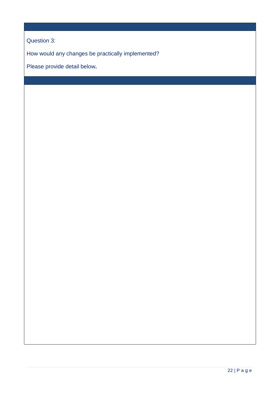Question 3:

How would any changes be practically implemented?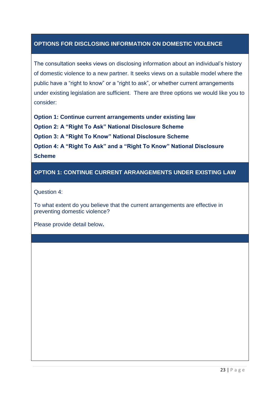#### **OPTIONS FOR DISCLOSING INFORMATION ON DOMESTIC VIOLENCE**

The consultation seeks views on disclosing information about an individual's history of domestic violence to a new partner. It seeks views on a suitable model where the public have a "right to know" or a "right to ask", or whether current arrangements under existing legislation are sufficient. There are three options we would like you to consider:

**Option 1: Continue current arrangements under existing law**

**Option 2: A "Right To Ask" National Disclosure Scheme**

**Option 3: A "Right To Know" National Disclosure Scheme**

**Option 4: A "Right To Ask" and a "Right To Know" National Disclosure Scheme**

#### **OPTION 1: CONTINUE CURRENT ARRANGEMENTS UNDER EXISTING LAW**

Question 4:

To what extent do you believe that the current arrangements are effective in preventing domestic violence?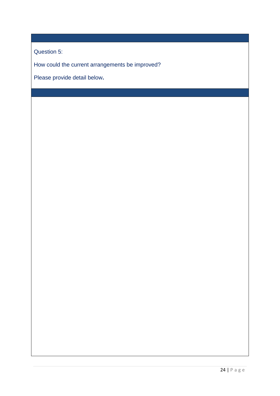Question 5:

How could the current arrangements be improved?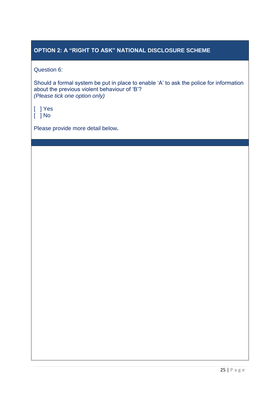### **OPTION 2: A "RIGHT TO ASK" NATIONAL DISCLOSURE SCHEME**

Question 6:

Should a formal system be put in place to enable 'A' to ask the police for information about the previous violent behaviour of 'B'? *(Please tick one option only)*

[ ] Yes [ ] No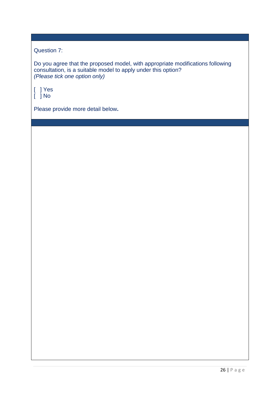#### Question 7:

Do you agree that the proposed model, with appropriate modifications following consultation, is a suitable model to apply under this option? *(Please tick one option only)*

- [ ] Yes
- $\overline{[}$   $\overline{]}$  No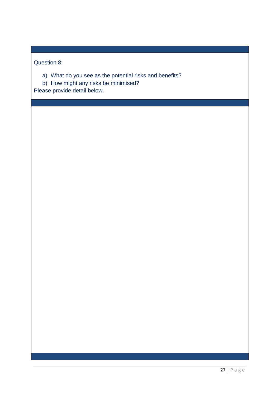Question 8:

- a) What do you see as the potential risks and benefits?
- b) How might any risks be minimised?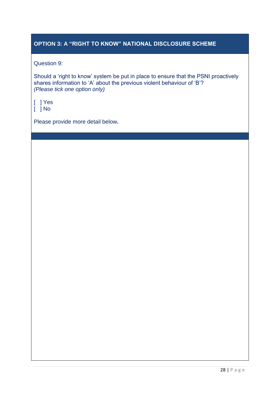### **OPTION 3: A "RIGHT TO KNOW" NATIONAL DISCLOSURE SCHEME**

Question 9:

Should a 'right to know' system be put in place to ensure that the PSNI proactively shares information to 'A' about the previous violent behaviour of 'B'? *(Please tick one option only)*

|  | Yes  |
|--|------|
|  | 1 No |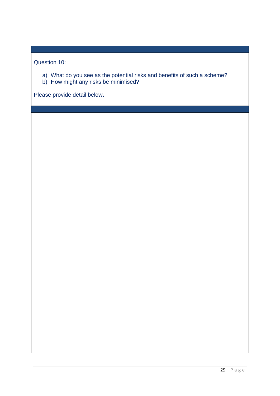Question 10:

- a) What do you see as the potential risks and benefits of such a scheme?
- b) How might any risks be minimised?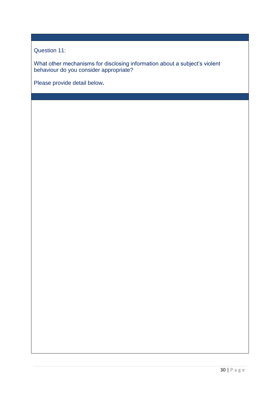Question 11:

What other mechanisms for disclosing information about a subject's violent behaviour do you consider appropriate?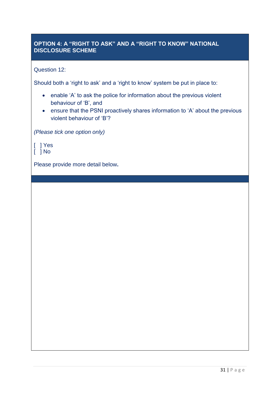#### **OPTION 4: A "RIGHT TO ASK" AND A "RIGHT TO KNOW" NATIONAL DISCLOSURE SCHEME**

#### Question 12:

Should both a 'right to ask' and a 'right to know' system be put in place to:

- enable 'A' to ask the police for information about the previous violent behaviour of 'B', and
- ensure that the PSNI proactively shares information to 'A' about the previous violent behaviour of 'B'?

*(Please tick one option only)*

[ ] Yes  $\int$   $\int$  No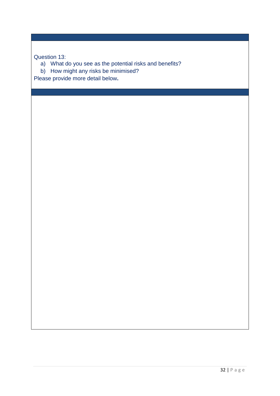Question 13:

a) What do you see as the potential risks and benefits?

b) How might any risks be minimised?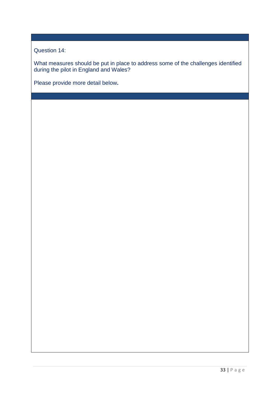Question 14:

What measures should be put in place to address some of the challenges identified during the pilot in England and Wales?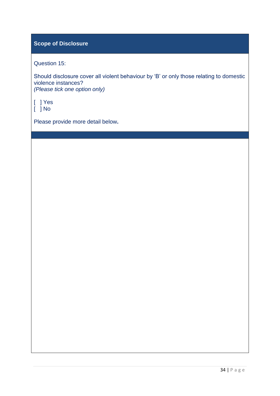### **Scope of Disclosure**

Question 15:

Should disclosure cover all violent behaviour by 'B' or only those relating to domestic violence instances? *(Please tick one option only)*

[ ] Yes [ ] No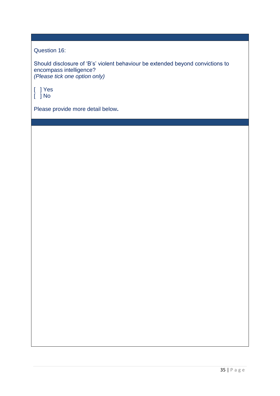### Question 16:

Should disclosure of 'B's' violent behaviour be extended beyond convictions to encompass intelligence? *(Please tick one option only)*

[ ] Yes  $\int$   $\int$  No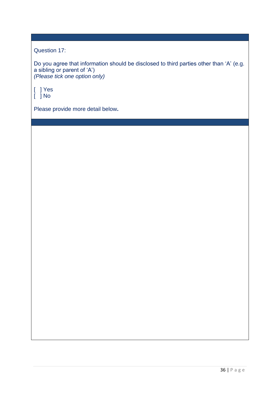### Question 17:

Do you agree that information should be disclosed to third parties other than 'A' (e.g. a sibling or parent of 'A') *(Please tick one option only)*

[ ] Yes

 $\overline{[}$   $\overline{]}$  No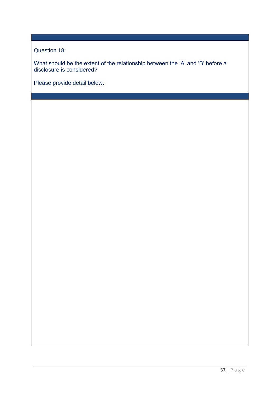Question 18:

What should be the extent of the relationship between the 'A' and 'B' before a disclosure is considered*?*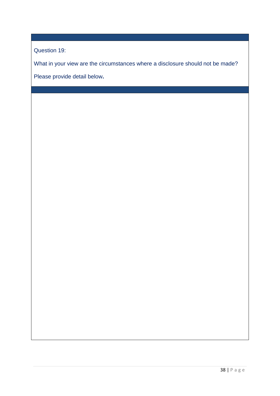Question 19:

What in your view are the circumstances where a disclosure should not be made?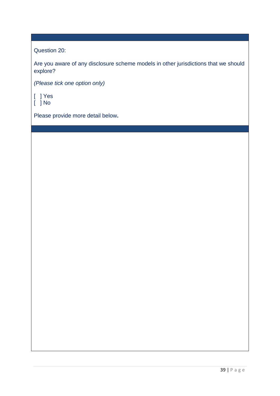Question 20:

Are you aware of any disclosure scheme models in other jurisdictions that we should explore?

*(Please tick one option only)*

- [ ] Yes
- $\overline{[}$   $\overline{]}$  No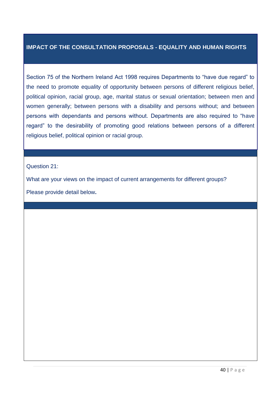#### **IMPACT OF THE CONSULTATION PROPOSALS - EQUALITY AND HUMAN RIGHTS**

Section 75 of the Northern Ireland Act 1998 requires Departments to "have due regard" to the need to promote equality of opportunity between persons of different religious belief, political opinion, racial group, age, marital status or sexual orientation; between men and women generally; between persons with a disability and persons without; and between persons with dependants and persons without. Departments are also required to "have regard" to the desirability of promoting good relations between persons of a different religious belief, political opinion or racial group.

Question 21:

What are your views on the impact of current arrangements for different groups?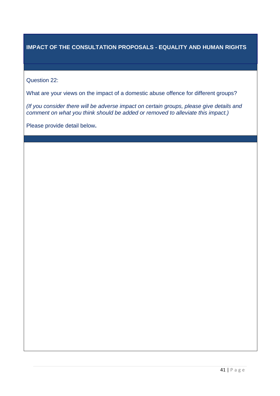### **IMPACT OF THE CONSULTATION PROPOSALS - EQUALITY AND HUMAN RIGHTS**

Question 22:

What are your views on the impact of a domestic abuse offence for different groups?

*(If you consider there will be adverse impact on certain groups, please give details and comment on what you think should be added or removed to alleviate this impact.)*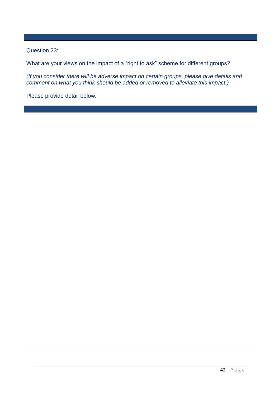Question 23:

What are your views on the impact of a "right to ask" scheme for different groups?

*(If you consider there will be adverse impact on certain groups, please give details and comment on what you think should be added or removed to alleviate this impact.)*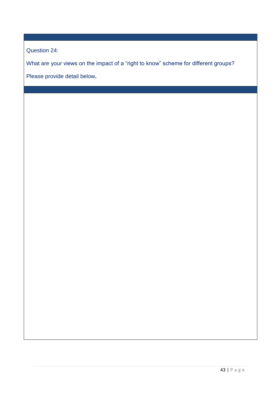Question 24:

What are your views on the impact of a "right to know" scheme for different groups?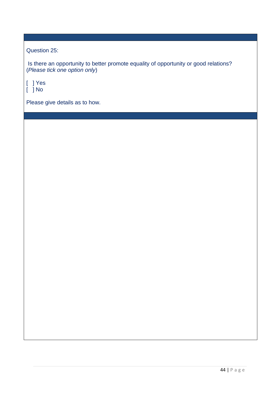Question 25:

Is there an opportunity to better promote equality of opportunity or good relations? (*Please tick one option only*)

[ ] Yes [ ] No

Please give details as to how.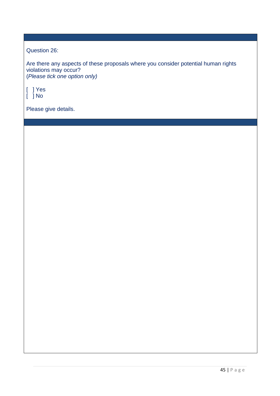Question 26:

Are there any aspects of these proposals where you consider potential human rights violations may occur? (*Please tick one option only)*

[ ] Yes  $\int$   $\int$  No

Please give details.